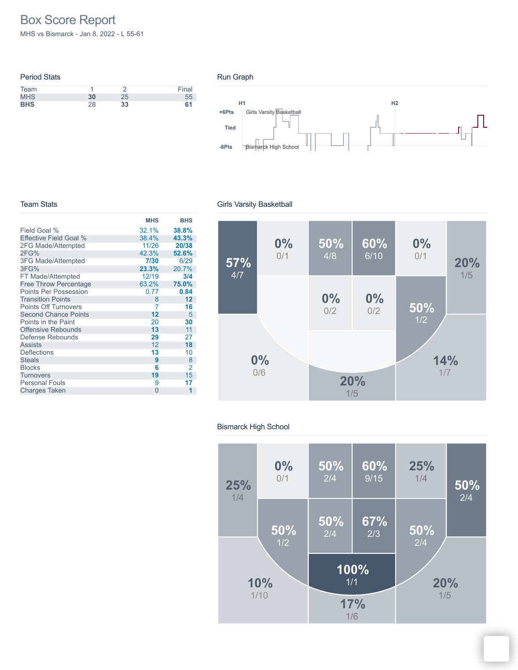# Box Score Report

MHS vs Bismarck - Jan 8, 2022 - L 55-61

| <b>Period Stats</b> |    |    |       |
|---------------------|----|----|-------|
| Team                |    |    | Final |
| <b>MHS</b>          | 30 | 25 | 55    |
| <b>BHS</b>          | 28 | 33 | 61    |





#### Team Stats

|                              | <b>MHS</b> | <b>BHS</b> |
|------------------------------|------------|------------|
| Field Goal %                 | 32.1%      | 38.8%      |
| Effective Field Goal %       | 38.4%      | 43.3%      |
| 2FG Made/Attempted           | 11/26      | 20/38      |
| 2FG%                         | 42.3%      | 52.6%      |
| 3FG Made/Attempted           | 7/30       | 6/29       |
| 3FG%                         | 23.3%      | 20.7%      |
| FT Made/Attempted            | 12/19      | 3/4        |
| <b>Free Throw Percentage</b> | 63.2%      | 75.0%      |
| <b>Points Per Possession</b> | 0.77       | 0.84       |
| <b>Transition Points</b>     | 8          | 12         |
| <b>Points Off Turnovers</b>  | 7          | 16         |
| <b>Second Chance Points</b>  | 12         | 5          |
| Points in the Paint          | 20         | 30         |
| <b>Offensive Rebounds</b>    | 13         | 11         |
| Defense Rebounds             | 29         | 27         |
| <b>Assists</b>               | 12         | 18         |
| <b>Deflections</b>           | 13         | 10         |
| <b>Steals</b>                | 9          | 8          |
| <b>Blocks</b>                | 6          | 2          |
| Turnovers                    | 19         | 15         |
| <b>Personal Fouls</b>        | 9          | 17         |
| <b>Charges Taken</b>         | $\Omega$   | 1          |

#### Girls Varsity Basketball



#### Bismarck High School